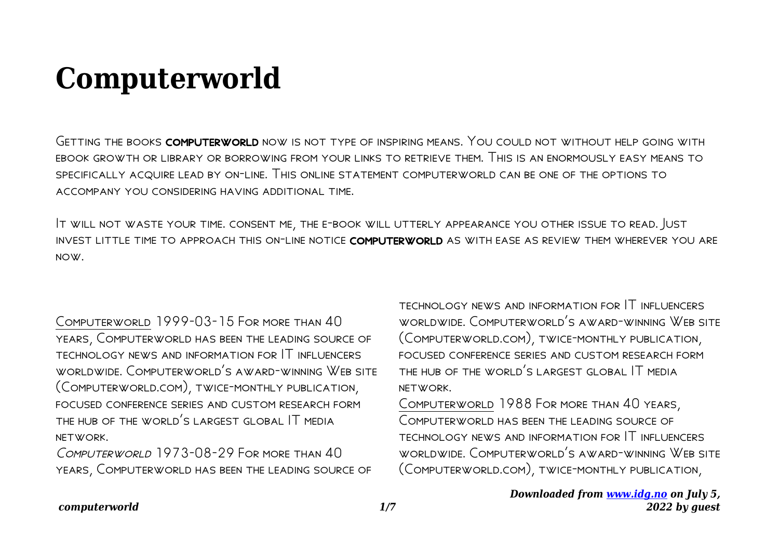## **Computerworld**

Getting the books computerworld now is not type of inspiring means. You could not without help going with ebook growth or library or borrowing from your links to retrieve them. This is an enormously easy means to specifically acquire lead by on-line. This online statement computerworld can be one of the options to accompany you considering having additional time.

It will not waste your time. consent me, the e-book will utterly appearance you other issue to read. Just invest little time to approach this on-line notice computerworld as with ease as review them wherever you are now.

Computerworld 1999-03-15 For more than 40 years, Computerworld has been the leading source of technology news and information for IT influencers worldwide. Computerworld's award-winning Web site (Computerworld.com), twice-monthly publication, focused conference series and custom research form the hub of the world's largest global IT media network.

COMPUTERWORLD 1973-08-29 FOR MORE THAN 40 years, Computerworld has been the leading source of technology news and information for IT influencers worldwide. Computerworld's award-winning Web site (Computerworld.com), twice-monthly publication, focused conference series and custom research form the hub of the world's largest global IT media network.

Computerworld 1988 For more than 40 years, Computerworld has been the leading source of technology news and information for IT influencers worldwide. Computerworld's award-winning Web site (Computerworld.com), twice-monthly publication,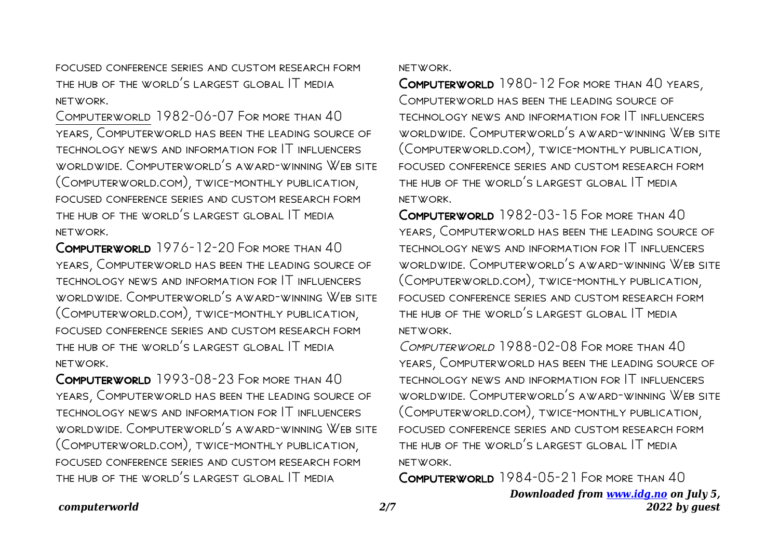focused conference series and custom research form the hub of the world's largest global IT media network.

Computerworld 1982-06-07 For more than 40 years, Computerworld has been the leading source of technology news and information for IT influencers worldwide. Computerworld's award-winning Web site (Computerworld.com), twice-monthly publication, focused conference series and custom research form the hub of the world's largest global IT media network.

Computerworld 1976-12-20 For more than 40 years, Computerworld has been the leading source of technology news and information for IT influencers worldwide. Computerworld's award-winning Web site (Computerworld.com), twice-monthly publication, focused conference series and custom research form the hub of the world's largest global IT media network.

Computerworld 1993-08-23 For more than 40 years, Computerworld has been the leading source of technology news and information for IT influencers worldwide. Computerworld's award-winning Web site (Computerworld.com), twice-monthly publication, focused conference series and custom research form the hub of the world's largest global IT media

network.

Computerworld 1980-12 For more than 40 years, Computerworld has been the leading source of technology news and information for IT influencers worldwide. Computerworld's award-winning Web site (Computerworld.com), twice-monthly publication, focused conference series and custom research form the hub of the world's largest global IT media network.

Computerworld 1982-03-15 For more than 40 years, Computerworld has been the leading source of technology news and information for IT influencers worldwide. Computerworld's award-winning Web site (Computerworld.com), twice-monthly publication, focused conference series and custom research form the hub of the world's largest global IT media network.

Computerworld 1988-02-08 For more than 40 years, Computerworld has been the leading source of technology news and information for IT influencers worldwide. Computerworld's award-winning Web site (Computerworld.com), twice-monthly publication, focused conference series and custom research form the hub of the world's largest global IT media network.

Computerworld 1984-05-21 For more than 40

## *computerworld 2/7*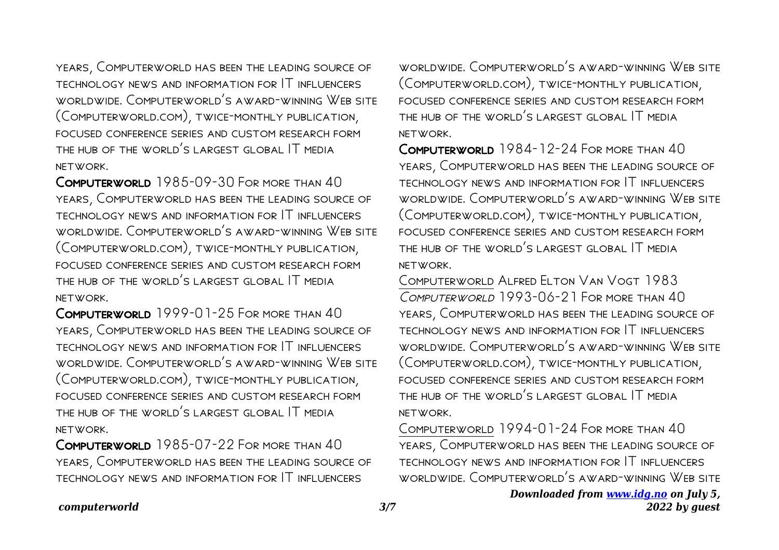years, Computerworld has been the leading source of technology news and information for IT influencers worldwide. Computerworld's award-winning Web site (Computerworld.com), twice-monthly publication, focused conference series and custom research form the hub of the world's largest global IT media network.

Computerworld 1985-09-30 For more than 40 years, Computerworld has been the leading source of technology news and information for IT influencers worldwide. Computerworld's award-winning Web site (Computerworld.com), twice-monthly publication, focused conference series and custom research form the hub of the world's largest global IT media network.

Computerworld 1999-01-25 For more than 40 years, Computerworld has been the leading source of technology news and information for IT influencers worldwide. Computerworld's award-winning Web site (Computerworld.com), twice-monthly publication, focused conference series and custom research form the hub of the world's largest global IT media network.

Computerworld 1985-07-22 For more than 40 years, Computerworld has been the leading source of technology news and information for IT influencers

worldwide. Computerworld's award-winning Web site (Computerworld.com), twice-monthly publication, focused conference series and custom research form the hub of the world's largest global IT media network.

COMPUTERWORLD 1984-12-24 FOR MORE THAN 40 years, Computerworld has been the leading source of technology news and information for IT influencers worldwide. Computerworld's award-winning Web site (Computerworld.com), twice-monthly publication, focused conference series and custom research form the hub of the world's largest global IT media network.

Computerworld Alfred Elton Van Vogt 1983 Computerworld 1993-06-21 For more than 40 years, Computerworld has been the leading source of technology news and information for IT influencers worldwide. Computerworld's award-winning Web site (Computerworld.com), twice-monthly publication, focused conference series and custom research form the hub of the world's largest global IT media network.

Computerworld 1994-01-24 For more than 40 years, Computerworld has been the leading source of technology news and information for IT influencers worldwide. Computerworld's award-winning Web site

> *Downloaded from [www.idg.no](http://www.idg.no) on July 5, 2022 by guest*

## *computerworld 3/7*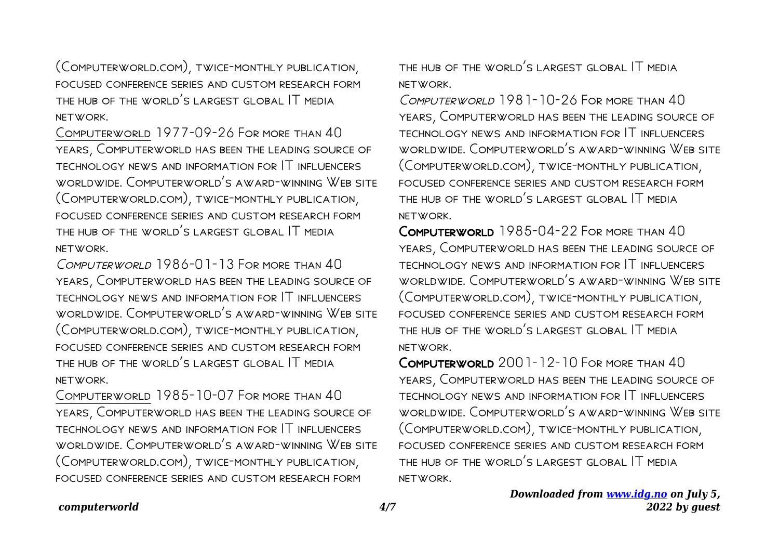(Computerworld.com), twice-monthly publication, focused conference series and custom research form the hub of the world's largest global IT media network.

Computerworld 1977-09-26 For more than 40 years, Computerworld has been the leading source of technology news and information for IT influencers worldwide. Computerworld's award-winning Web site (Computerworld.com), twice-monthly publication, focused conference series and custom research form the hub of the world's largest global IT media network.

COMPUTERWORLD 1986-01-13 FOR MORE THAN 40 years, Computerworld has been the leading source of technology news and information for IT influencers worldwide. Computerworld's award-winning Web site (Computerworld.com), twice-monthly publication, focused conference series and custom research form the hub of the world's largest global IT media network.

Computerworld 1985-10-07 For more than 40 years, Computerworld has been the leading source of technology news and information for IT influencers worldwide. Computerworld's award-winning Web site (Computerworld.com), twice-monthly publication, focused conference series and custom research form

the hub of the world's largest global IT media network.

COMPUTERWORLD 1981-10-26 FOR MORE THAN 40 years, Computerworld has been the leading source of technology news and information for IT influencers worldwide. Computerworld's award-winning Web site (Computerworld.com), twice-monthly publication, focused conference series and custom research form the hub of the world's largest global IT media network.

Computerworld 1985-04-22 For more than 40 years, Computerworld has been the leading source of technology news and information for IT influencers worldwide. Computerworld's award-winning Web site (Computerworld.com), twice-monthly publication, focused conference series and custom research form the hub of the world's largest global IT media network.

Computerworld 2001-12-10 For more than 40 years, Computerworld has been the leading source of technology news and information for IT influencers worldwide. Computerworld's award-winning Web site (Computerworld.com), twice-monthly publication, focused conference series and custom research form the hub of the world's largest global IT media network.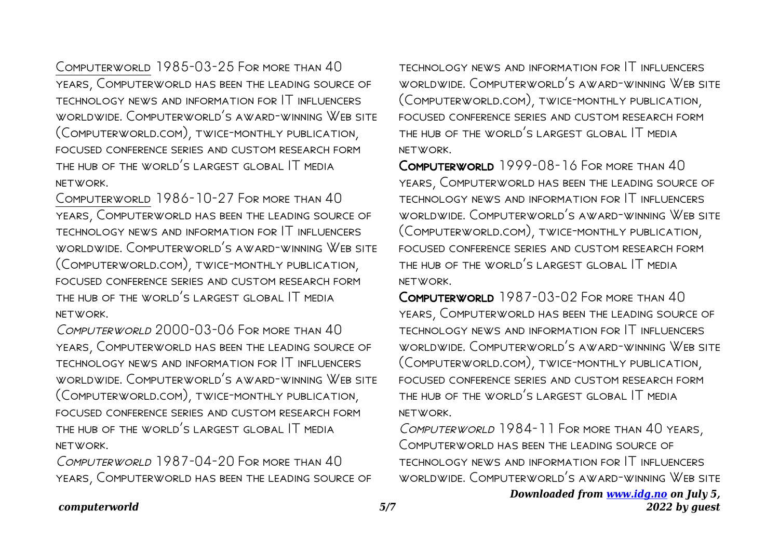Computerworld 1985-03-25 For more than 40 years, Computerworld has been the leading source of technology news and information for IT influencers worldwide. Computerworld's award-winning Web site (Computerworld.com), twice-monthly publication, focused conference series and custom research form the hub of the world's largest global IT media network.

Computerworld 1986-10-27 For more than 40 years, Computerworld has been the leading source of technology news and information for IT influencers worldwide. Computerworld's award-winning Web site (Computerworld.com), twice-monthly publication, focused conference series and custom research form the hub of the world's largest global IT media network.

Computerworld 2000-03-06 For more than 40 years, Computerworld has been the leading source of technology news and information for IT influencers worldwide. Computerworld's award-winning Web site (Computerworld.com), twice-monthly publication, focused conference series and custom research form the hub of the world's largest global IT media network.

COMPUTERWORLD 1987-04-20 FOR MORE THAN 40 years, Computerworld has been the leading source of technology news and information for IT influencers worldwide. Computerworld's award-winning Web site (Computerworld.com), twice-monthly publication, focused conference series and custom research form the hub of the world's largest global IT media network.

Computerworld 1999-08-16 For more than 40 years, Computerworld has been the leading source of technology news and information for IT influencers worldwide. Computerworld's award-winning Web site (Computerworld.com), twice-monthly publication, focused conference series and custom research form the hub of the world's largest global IT media network.

Computerworld 1987-03-02 For more than 40 years, Computerworld has been the leading source of technology news and information for IT influencers worldwide. Computerworld's award-winning Web site (Computerworld.com), twice-monthly publication, focused conference series and custom research form the hub of the world's largest global IT media network.

Computerworld 1984-11 For more than 40 years, Computerworld has been the leading source of technology news and information for IT influencers worldwide. Computerworld's award-winning Web site

> *Downloaded from [www.idg.no](http://www.idg.no) on July 5, 2022 by guest*

## *computerworld 5/7*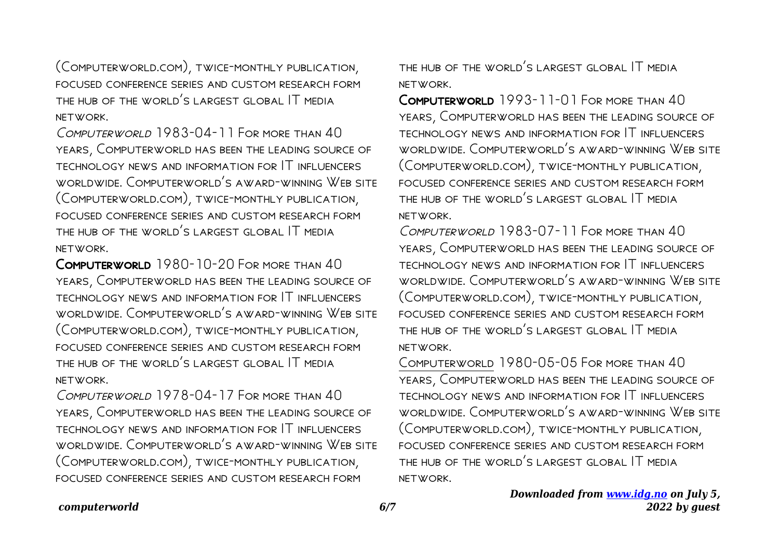(Computerworld.com), twice-monthly publication, focused conference series and custom research form the hub of the world's largest global IT media network.

COMPUTERWORLD 1983-04-11 FOR MORE THAN 40 years, Computerworld has been the leading source of technology news and information for IT influencers worldwide. Computerworld's award-winning Web site (Computerworld.com), twice-monthly publication, focused conference series and custom research form the hub of the world's largest global IT media network.

COMPUTERWORLD 1980-10-20 FOR MORE THAN 40 years, Computerworld has been the leading source of technology news and information for IT influencers worldwide. Computerworld's award-winning Web site (Computerworld.com), twice-monthly publication, focused conference series and custom research form the hub of the world's largest global IT media network.

COMPUTERWORLD 1978-04-17 FOR MORE THAN 40 years, Computerworld has been the leading source of technology news and information for IT influencers worldwide. Computerworld's award-winning Web site (Computerworld.com), twice-monthly publication, focused conference series and custom research form

the hub of the world's largest global IT media network.

Computerworld 1993-11-01 For more than 40 years, Computerworld has been the leading source of technology news and information for IT influencers worldwide. Computerworld's award-winning Web site (Computerworld.com), twice-monthly publication, focused conference series and custom research form the hub of the world's largest global IT media network.

COMPLITERWORLD 1983-07-11 FOR MORE THAN 40 years, Computerworld has been the leading source of technology news and information for IT influencers worldwide. Computerworld's award-winning Web site (Computerworld.com), twice-monthly publication, focused conference series and custom research form the hub of the world's largest global IT media network.

Computerworld 1980-05-05 For more than 40 years, Computerworld has been the leading source of technology news and information for IT influencers worldwide. Computerworld's award-winning Web site (Computerworld.com), twice-monthly publication, focused conference series and custom research form the hub of the world's largest global IT media network.